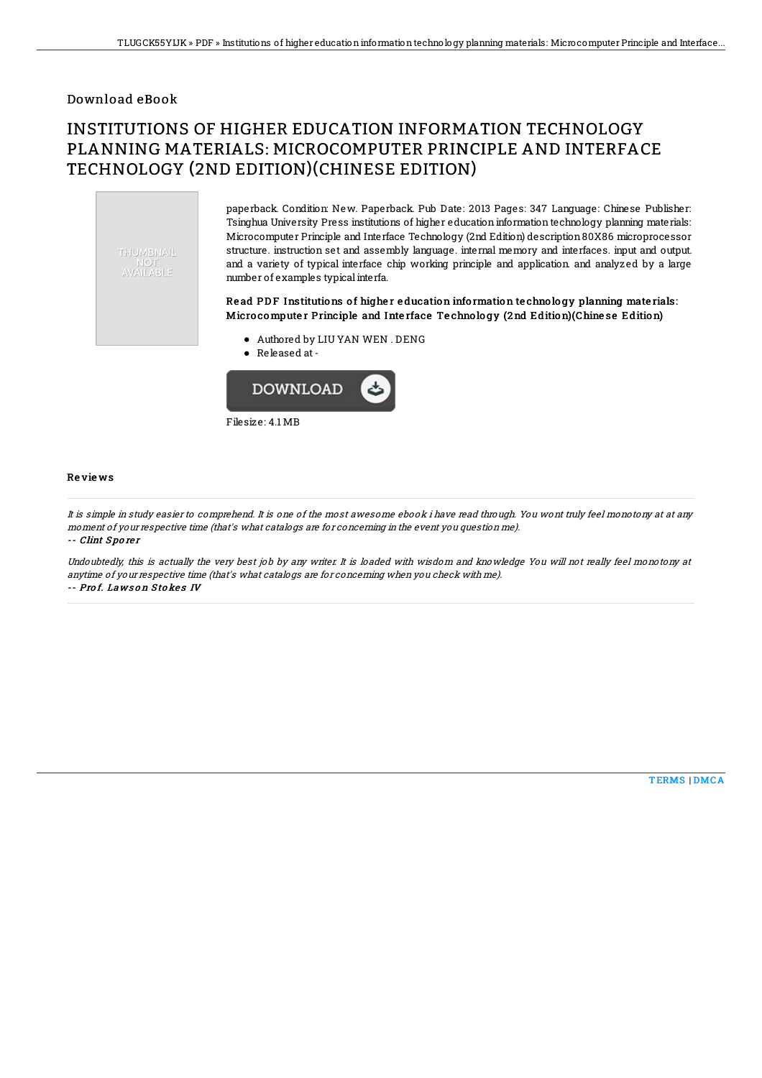## Download eBook

# INSTITUTIONS OF HIGHER EDUCATION INFORMATION TECHNOLOGY PLANNING MATERIALS: MICROCOMPUTER PRINCIPLE AND INTERFACE TECHNOLOGY (2ND EDITION)(CHINESE EDITION)



paperback. Condition: New. Paperback. Pub Date: 2013 Pages: 347 Language: Chinese Publisher: Tsinghua University Press institutions of higher education information technology planning materials: Microcomputer Principle and Interface Technology (2nd Edition) description80X86 microprocessor structure. instruction set and assembly language. internal memory and interfaces. input and output. and a variety of typical interface chip working principle and application. and analyzed by a large number of examples typicalinterfa.

### Read PDF Institutions of higher education information technology planning materials: Micro compute r Principle and Inte rface Te chno lo gy (2nd Edition)(Chine se Edition)

- Authored by LIU YAN WEN . DENG
- Released at-



#### Re vie ws

It is simple in study easier to comprehend. It is one of the most awesome ebook i have read through. You wont truly feel monotony at at any moment of your respective time (that's what catalogs are for concerning in the event you question me). -- Clint Sporer

Undoubtedly, this is actually the very best job by any writer. It is loaded with wisdom and knowledge You will not really feel monotony at anytime of your respective time (that's what catalogs are for concerning when you check with me).

-- Prof. Laws on Stokes IV